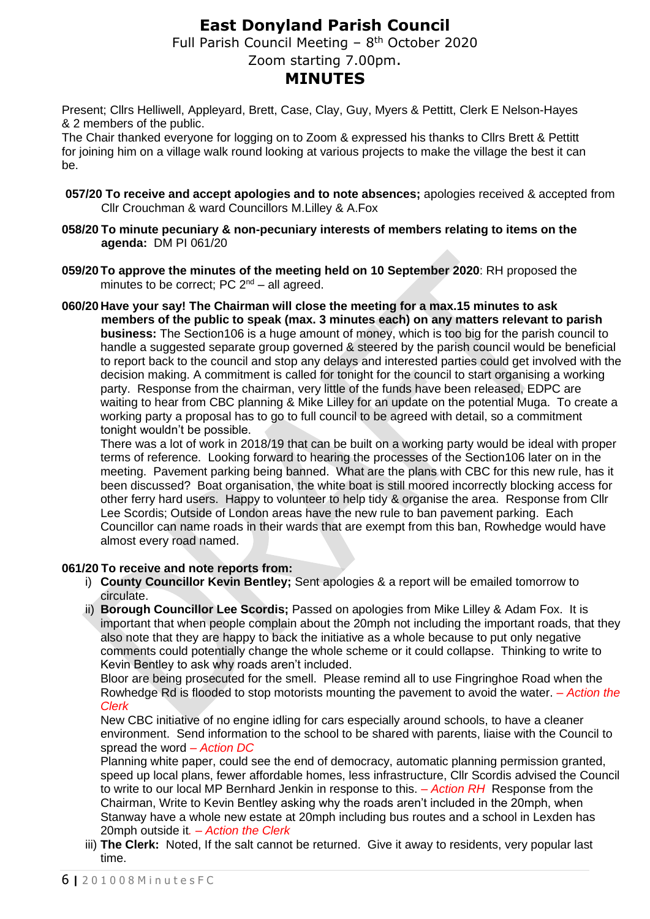# **East Donyland Parish Council**

Full Parish Council Meeting  $-8$ <sup>th</sup> October 2020

## Zoom starting 7.00pm.

# **MINUTES**

Present; Cllrs Helliwell, Appleyard, Brett, Case, Clay, Guy, Myers & Pettitt, Clerk E Nelson-Hayes & 2 members of the public.

The Chair thanked everyone for logging on to Zoom & expressed his thanks to Cllrs Brett & Pettitt for joining him on a village walk round looking at various projects to make the village the best it can be.

- **057/20 To receive and accept apologies and to note absences;** apologies received & accepted from Cllr Crouchman & ward Councillors M.Lilley & A.Fox
- **058/20 To minute pecuniary & non-pecuniary interests of members relating to items on the agenda:** DM PI 061/20
- **059/20To approve the minutes of the meeting held on 10 September 2020**: RH proposed the minutes to be correct; PC  $2^{nd}$  – all agreed.
- **060/20 Have your say! The Chairman will close the meeting for a max.15 minutes to ask members of the public to speak (max. 3 minutes each) on any matters relevant to parish business:** The Section106 is a huge amount of money, which is too big for the parish council to handle a suggested separate group governed & steered by the parish council would be beneficial to report back to the council and stop any delays and interested parties could get involved with the decision making. A commitment is called for tonight for the council to start organising a working party. Response from the chairman, very little of the funds have been released, EDPC are waiting to hear from CBC planning & Mike Lilley for an update on the potential Muga. To create a working party a proposal has to go to full council to be agreed with detail, so a commitment tonight wouldn't be possible.

There was a lot of work in 2018/19 that can be built on a working party would be ideal with proper terms of reference. Looking forward to hearing the processes of the Section106 later on in the meeting. Pavement parking being banned. What are the plans with CBC for this new rule, has it been discussed? Boat organisation, the white boat is still moored incorrectly blocking access for other ferry hard users. Happy to volunteer to help tidy & organise the area. Response from Cllr Lee Scordis; Outside of London areas have the new rule to ban pavement parking. Each Councillor can name roads in their wards that are exempt from this ban, Rowhedge would have almost every road named.

### **061/20 To receive and note reports from:**

- i) **County Councillor Kevin Bentley;** Sent apologies & a report will be emailed tomorrow to circulate.
- ii) **Borough Councillor Lee Scordis;** Passed on apologies from Mike Lilley & Adam Fox. It is important that when people complain about the 20mph not including the important roads, that they also note that they are happy to back the initiative as a whole because to put only negative comments could potentially change the whole scheme or it could collapse. Thinking to write to Kevin Bentley to ask why roads aren't included.

Bloor are being prosecuted for the smell. Please remind all to use Fingringhoe Road when the Rowhedge Rd is flooded to stop motorists mounting the pavement to avoid the water. *– Action the Clerk*

New CBC initiative of no engine idling for cars especially around schools, to have a cleaner environment. Send information to the school to be shared with parents, liaise with the Council to spread the word *– Action DC*

Planning white paper, could see the end of democracy, automatic planning permission granted, speed up local plans, fewer affordable homes, less infrastructure, Cllr Scordis advised the Council to write to our local MP Bernhard Jenkin in response to this. *– Action RH* Response from the Chairman, Write to Kevin Bentley asking why the roads aren't included in the 20mph, when Stanway have a whole new estate at 20mph including bus routes and a school in Lexden has 20mph outside it*. – Action the Clerk*

iii) **The Clerk:** Noted, If the salt cannot be returned. Give it away to residents, very popular last time.